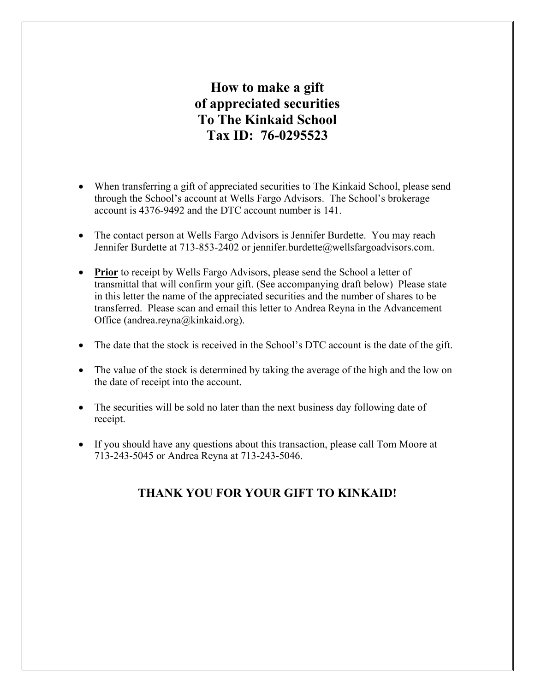## **How to make a gift of appreciated securities To The Kinkaid School Tax ID: 76-0295523**

- When transferring a gift of appreciated securities to The Kinkaid School, please send through the School's account at Wells Fargo Advisors. The School's brokerage account is 4376-9492 and the DTC account number is 141.
- The contact person at Wells Fargo Advisors is Jennifer Burdette. You may reach Jennifer Burdette at 713-853-2402 or jennifer.burdette@wellsfargoadvisors.com.
- **Prior** to receipt by Wells Fargo Advisors, please send the School a letter of transmittal that will confirm your gift. (See accompanying draft below) Please state in this letter the name of the appreciated securities and the number of shares to be transferred. Please scan and email this letter to Andrea Reyna in the Advancement Office (andrea.reyna@kinkaid.org).
- The date that the stock is received in the School's DTC account is the date of the gift.
- The value of the stock is determined by taking the average of the high and the low on the date of receipt into the account.
- The securities will be sold no later than the next business day following date of receipt.
- If you should have any questions about this transaction, please call Tom Moore at 713-243-5045 or Andrea Reyna at 713-243-5046.

## **THANK YOU FOR YOUR GIFT TO KINKAID!**